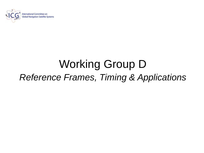

## Working Group D *Reference Frames, Timing & Applications*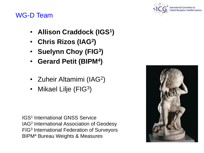

#### WG-D Team

- **Allison Craddock (IGS<sup>1</sup> )**
- **Chris Rizos (IAG<sup>2</sup> )**
- **Suelynn Choy (FIG<sup>3</sup> )**
- **Gerard Petit (BIPM<sup>4</sup> )**
- Zuheir Altamimi (IAG<sup>2</sup>)
- Mikael Lilje (FIG<sup>3</sup>)

IGS<sup>1</sup> International GNSS Service IAG<sup>2</sup> International Association of Geodesy FIG<sup>3</sup> International Federation of Surveyors BIPM<sup>4</sup> Bureau Weights & Measures

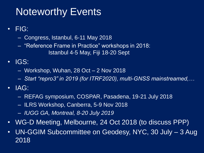## Noteworthy Events

- FIG:
	- Congress, Istanbul, 6-11 May 2018
	- "Reference Frame in Practice" workshops in 2018: Istanbul 4-5 May, Fiji 18-20 Sept
- IGS:
	- Workshop, Wuhan, 28 Oct 2 Nov 2018
	- *Start "repro3" in 2019 (for ITRF2020), multi-GNSS mainstreamed,…*
- IAG:
	- REFAG symposium, COSPAR, Pasadena, 19-21 July 2018
	- ILRS Workshop, Canberra, 5-9 Nov 2018
	- *IUGG GA, Montreal, 8-20 July 2019*
- WG-D Meeting, Melbourne, 24 Oct 2018 (to discuss PPP)
- UN-GGIM Subcommittee on Geodesy, NYC, 30 July 3 Aug 2018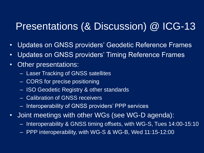## Presentations (& Discussion) @ ICG-13

- Updates on GNSS providers' Geodetic Reference Frames
- Updates on GNSS providers' Timing Reference Frames
- Other presentations:
	- Laser Tracking of GNSS satellites
	- CORS for precise positioning
	- ISO Geodetic Registry & other standards
	- Calibration of GNSS receivers
	- Interoperability of GNSS providers' PPP services
- Joint meetings with other WGs (see WG-D agenda):
	- Interoperability & GNSS timing offsets, with WG-S, Tues 14:00-15:10
	- PPP interoperability, with WG-S & WG-B, Wed 11:15-12:00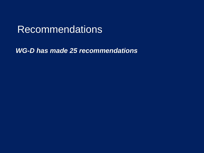## **Recommendations**

*WG-D has made 25 recommendations*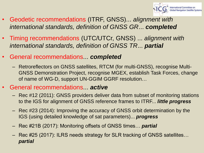

- Geodetic recommendations (ITRF, GNSS)... *alignment with international standards, definition of GNSS GR*... *completed*
- Timing recommendations (UTC/UTCr, GNSS) ... *alignment with international standards, definition of GNSS TR*... *partial*
- General recommendations... *completed*
	- Retroreflectors on GNSS satellites, RTCM (for multi-GNSS), recognise Multi-GNSS Demonstration Project, recognise MGEX, establish Task Forces, change of name of WG-D, support UN-GGIM GGRF resolution…
- General recommendations... *active*
	- Rec #12 (2011): GNSS providers deliver data from subset of monitoring stations to the IGS for alignment of GNSS reference frames to ITRF... *little progress*
	- Rec #23 (2014): Improving the accuracy of GNSS orbit determination by the IGS (using detailed knowledge of sat parameters)... *progress*
	- Rec #21B (2017): Monitoring offsets of GNSS times… *partial*
	- Rec #25 (2017): ILRS needs strategy for SLR tracking of GNSS satellites… *partial*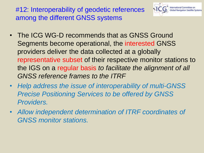#12: Interoperability of geodetic references among the different GNSS systems



- The ICG WG-D recommends that as GNSS Ground Segments become operational, the interested GNSS providers deliver the data collected at a globally representative subset of their respective monitor stations to the IGS on a regular basis *to facilitate the alignment of all GNSS reference frames to the ITRF*
- *Help address the issue of interoperability of multi-GNSS Precise Positioning Services to be offered by GNSS Providers.*
- *Allow independent determination of ITRF coordinates of GNSS monitor stations.*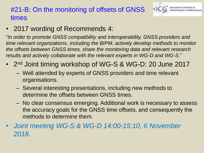#### #21-B: On the monitoring of offsets of GNSS times



• 2017 wording of Recommends 4:

"*In order to promote GNSS compatibility and interoperability, GNSS providers and time relevant organizations, including the BIPM, actively develop methods to monitor the offsets between GNSS times, share the monitoring data and relevant research results and actively collaborate with the relevant experts in WG-D and WG-S*."

- 2<sup>nd</sup> Joint timing workshop of WG-S & WG-D: 20 June 2017
	- Well attended by experts of GNSS providers and time relevant organisations.
	- Several interesting presentations, including new methods to determine the offsets between GNSS times.
	- No clear consensus emerging. Additional work is necessary to assess the accuracy goals for the GNSS time offsets, and consequently the methods to determine them.
- *Joint meeting WG-S & WG-D 14:00-15:10, 6 November 2018.*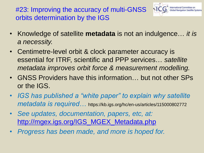#23: Improving the accuracy of multi-GNSS orbits determination by the IGS



- Knowledge of satellite **metadata** is not an indulgence… *it is a necessity.*
- Centimetre-level orbit & clock parameter accuracy is essential for ITRF, scientific and PPP services… *satellite metadata improves orbit force & measurement modelling.*
- GNSS Providers have this information… but not other SPs or the IGS.
- *IGS has published a "white paper" to explain why satellite metadata is required…* https://kb.igs.org/hc/en-us/articles/115000802772
- *See updates, documentation, papers, etc, at:*  [http://mgex.igs.org/IGS\\_MGEX\\_Metadata.php](http://mgex.igs.org/IGS_MGEX_Metadata.php)
- *Progress has been made, and more is hoped for.*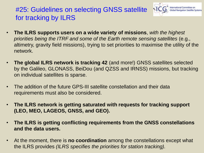#### #25: Guidelines on selecting GNSS satellite for tracking by ILRS



- **The ILRS supports users on a wide variety of missions**, *with the highest priorities being the ITRF and some of the Earth remote sensing satellites* (e.g., altimetry, gravity field missions), trying to set priorities to maximise the utility of the network.
- **The global ILRS network is tracking 42** (and more!) GNSS satellites selected by the Galileo, GLONASS, BeiDou (and QZSS and IRNSS) missions, but tracking on individual satellites is sparse.
- The addition of the future GPS-III satellite constellation and their data requirements must also be considered.
- **The ILRS network is getting saturated with requests for tracking support (LEO, MEO, LAGEOS, GNSS, and GEO).**
- **The ILRS is getting conflicting requirements from the GNSS constellations and the data users.**
- At the moment, there is **no coordination** among the constellations except what the ILRS provides *(ILRS specifies the priorities for station tracking).*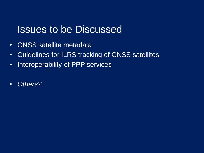## Issues to be Discussed

- GNSS satellite metadata
- Guidelines for ILRS tracking of GNSS satellites
- Interoperability of PPP services
- *Others?*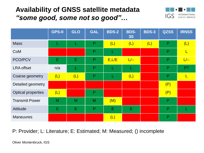#### **Availability of GNSS satellite metadata** *"some good, some not so good"…*



|                           | <b>GPS-II</b> | <b>GLO</b> | <b>GAL</b> | <b>BDS-2</b> | <b>BDS-</b><br><b>3S</b> | <b>BDS-3</b> | <b>QZSS</b>  | <b>IRNSS</b> |
|---------------------------|---------------|------------|------------|--------------|--------------------------|--------------|--------------|--------------|
| <b>Mass</b>               | L             |            | P          | (L)          | (L)                      | (L)          | $\mathsf{P}$ | (L)          |
| CoM                       |               |            | P          |              |                          |              | P            | L            |
| PCO/PCV                   | Ε             | E          | P          | E, L/E       | $L$ --                   |              | P            | $L$ --       |
| <b>LRA offset</b>         | n/a           | L          | P          |              | L                        |              | P            | $P$ ?        |
| Coarse geometry           | (L)           | (L)        | P          |              | (L)                      |              | P            | L            |
| Detailed geometry         |               |            |            |              |                          |              | (P)          |              |
| <b>Optical properties</b> | (L)           |            | P          |              |                          |              | (P)          |              |
| <b>Transmit Power</b>     | M             | M          | M          | (M)          |                          |              | $\mathsf{P}$ |              |
| <b>Attitude</b>           | E             | Е          | P          | E            | Ε                        |              | P            |              |
| <b>Maneuvres</b>          |               |            |            | (L)          |                          |              | P            |              |

P: Provider; L: Literature; E: Estimated; M: Measured; () incomplete

Oliver Montenbruck, IGS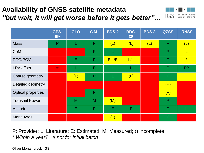#### **Availability of GNSS satellite metadata** *"but wait, it will get worse before it gets better"…*



|                           | GPS-<br>$III*$ | <b>GLO</b> | <b>GAL</b>   | <b>BDS-2</b> | <b>BDS-</b><br><b>3S</b> | <b>BDS-3</b> | <b>QZSS</b>  | <b>IRNSS</b> |
|---------------------------|----------------|------------|--------------|--------------|--------------------------|--------------|--------------|--------------|
| <b>Mass</b>               | P              | L          | P            | (L)          | (L)                      | (L)          | $\mathsf{P}$ | (L)          |
| CoM                       |                |            | P            | L            |                          |              | $\mathsf{P}$ | L            |
| PCO/PCV                   |                | E          | P            | E, L/E       | $L$ --                   |              | $\mathsf{P}$ | $L$ --       |
| <b>LRA offset</b>         | #              | L          | P            | L            | L                        |              | P            | $P$ ?        |
| Coarse geometry           |                | (L)        | P            | L            | (L)                      |              | $\mathsf{P}$ | L            |
| Detailed geometry         |                |            |              |              |                          |              | (P)          |              |
| <b>Optical properties</b> |                |            | $\mathsf{P}$ |              |                          |              | (P)          |              |
| <b>Transmit Power</b>     |                | M          | M            | (M)          |                          |              | $\mathsf{P}$ |              |
| <b>Attitude</b>           |                | Ε          | P            | E            | E                        |              | P            |              |
| <b>Maneuvres</b>          |                |            |              | (L)          |                          |              | $\mathsf{P}$ |              |

P: Provider; L: Literature; E: Estimated; M: Measured; () incomplete

\* *Within a year? # not for initial batch*

Oliver Montenbruck, IGS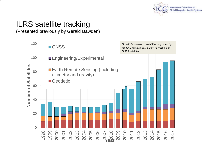

#### ILRS satellite tracking

14

(Presented previously by Gerald Bawden)

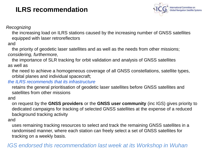#### **ILRS recommendation**



*Recognizing*

the increasing load on ILRS stations caused by the increasing number of GNSS satellites equipped with laser retroreflectors

and

the priority of geodetic laser satellites and as well as the needs from other missions; *considering, furthermore,* 

the importance of SLR tracking for orbit validation and analysis of GNSS satellites as well as

the need to achieve a homogeneous coverage of all GNSS constellations, satellite types, orbital planes and individual spacecraft;

*the ILRS recommends that its infrastructure*

retains the general prioritisation of geodetic laser satellites before GNSS satellites and satellites from other missions

and

on request by the **GNSS providers** or the **GNSS user community** (inc IGS) gives priority to dedicated campaigns for tracking of selected GNSS satellites at the expense of a reduced background tracking activity

and

uses remaining tracking resources to select and track the remaining GNSS satellites in a randomised manner, where each station can freely select a set of GNSS satellites for tracking on a weekly basis.

#### *IGS endorsed this recommendation last week at its Workshop in Wuhan*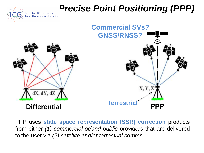# **Precise Point Positional Committee on Precise Point Auditoring (PPP)**



PPP uses **state space representation (SSR) correction** products from either *(1) commercial or/and public providers* that are delivered to the user via *(2) satellite and/or terrestrial comms*.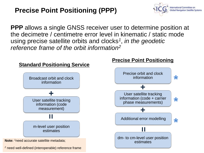#### **Precise Point Positioning (PPP)**



**PPP** allows a single GNSS receiver user to determine position at the decimetre / centimetre error level in kinematic / static mode using precise satellite orbits and clocks*<sup>1</sup>* , *in the geodetic reference frame of the orbit information<sup>2</sup>*

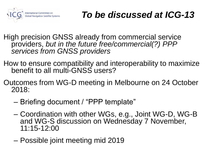

## *To be discussed at ICG-13*

- High precision GNSS already from commercial service providers, *but in the future free/commercial(?) PPP services from GNSS providers*
- How to ensure compatibility and interoperability to maximize benefit to all multi-GNSS users?
- Outcomes from WG-D meeting in Melbourne on 24 October 2018:
	- Briefing document / "PPP template"
	- Coordination with other WGs, e.g., Joint WG-D, WG-B and WG-S discussion on Wednesday 7 November, 11:15-12:00
	- Possible joint meeting mid 2019